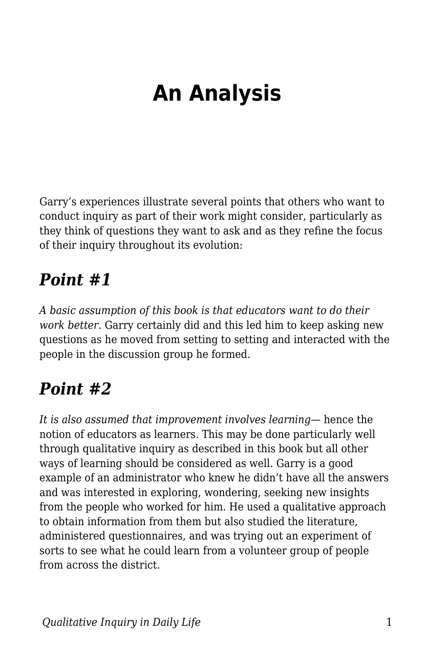# **An Analysis**

Garry's experiences illustrate several points that others who want to conduct inquiry as part of their work might consider, particularly as they think of questions they want to ask and as they refine the focus of their inquiry throughout its evolution:

### *Point #1*

*A basic assumption of this book is that educators want to do their work better.* Garry certainly did and this led him to keep asking new questions as he moved from setting to setting and interacted with the people in the discussion group he formed.

# *Point #2*

*It is also assumed that improvement involves learning*— hence the notion of educators as learners. This may be done particularly well through qualitative inquiry as described in this book but all other ways of learning should be considered as well. Garry is a good example of an administrator who knew he didn't have all the answers and was interested in exploring, wondering, seeking new insights from the people who worked for him. He used a qualitative approach to obtain information from them but also studied the literature, administered questionnaires, and was trying out an experiment of sorts to see what he could learn from a volunteer group of people from across the district.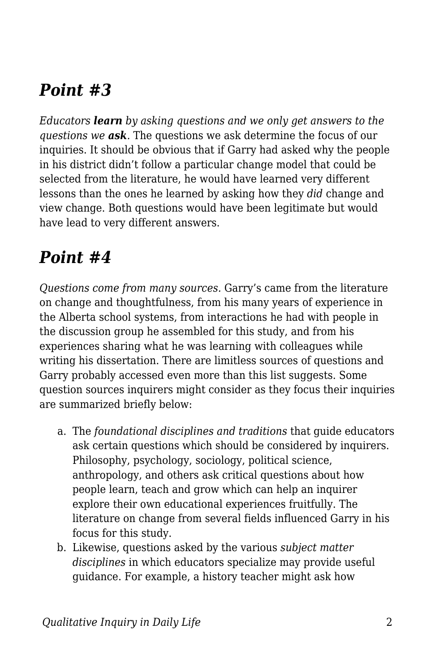## *Point #3*

*Educators learn by asking questions and we only get answers to the questions we ask.* The questions we ask determine the focus of our inquiries. It should be obvious that if Garry had asked why the people in his district didn't follow a particular change model that could be selected from the literature, he would have learned very different lessons than the ones he learned by asking how they *did* change and view change. Both questions would have been legitimate but would have lead to very different answers.

### *Point #4*

*Questions come from many sources.* Garry's came from the literature on change and thoughtfulness, from his many years of experience in the Alberta school systems, from interactions he had with people in the discussion group he assembled for this study, and from his experiences sharing what he was learning with colleagues while writing his dissertation. There are limitless sources of questions and Garry probably accessed even more than this list suggests. Some question sources inquirers might consider as they focus their inquiries are summarized briefly below:

- a. The *foundational disciplines and traditions* that guide educators ask certain questions which should be considered by inquirers. Philosophy, psychology, sociology, political science, anthropology, and others ask critical questions about how people learn, teach and grow which can help an inquirer explore their own educational experiences fruitfully. The literature on change from several fields influenced Garry in his focus for this study.
- b. Likewise, questions asked by the various *subject matter disciplines* in which educators specialize may provide useful guidance. For example, a history teacher might ask how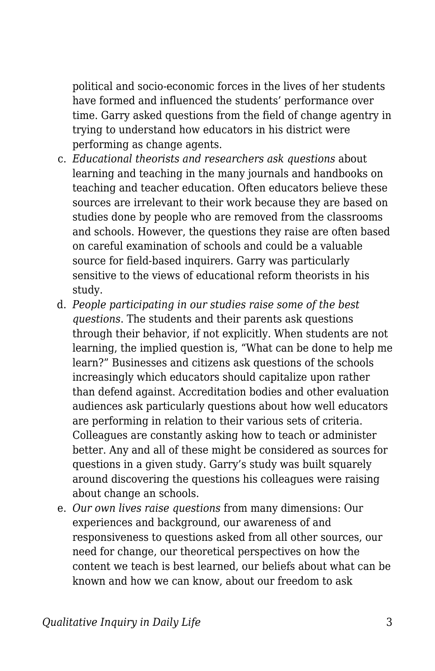political and socio-economic forces in the lives of her students have formed and influenced the students' performance over time. Garry asked questions from the field of change agentry in trying to understand how educators in his district were performing as change agents.

- c. *Educational theorists and researchers ask questions* about learning and teaching in the many journals and handbooks on teaching and teacher education. Often educators believe these sources are irrelevant to their work because they are based on studies done by people who are removed from the classrooms and schools. However, the questions they raise are often based on careful examination of schools and could be a valuable source for field-based inquirers. Garry was particularly sensitive to the views of educational reform theorists in his study.
- d. *People participating in our studies raise some of the best questions*. The students and their parents ask questions through their behavior, if not explicitly. When students are not learning, the implied question is, "What can be done to help me learn?" Businesses and citizens ask questions of the schools increasingly which educators should capitalize upon rather than defend against. Accreditation bodies and other evaluation audiences ask particularly questions about how well educators are performing in relation to their various sets of criteria. Colleagues are constantly asking how to teach or administer better. Any and all of these might be considered as sources for questions in a given study. Garry's study was built squarely around discovering the questions his colleagues were raising about change an schools.
- e. *Our own lives raise questions* from many dimensions: Our experiences and background, our awareness of and responsiveness to questions asked from all other sources, our need for change, our theoretical perspectives on how the content we teach is best learned, our beliefs about what can be known and how we can know, about our freedom to ask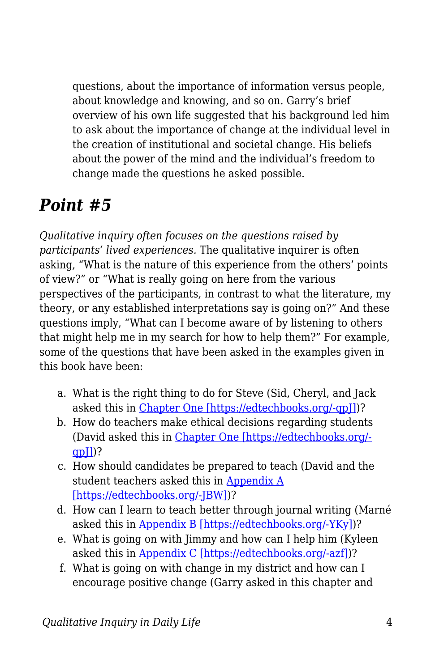questions, about the importance of information versus people, about knowledge and knowing, and so on. Garry's brief overview of his own life suggested that his background led him to ask about the importance of change at the individual level in the creation of institutional and societal change. His beliefs about the power of the mind and the individual's freedom to change made the questions he asked possible.

### *Point #5*

*Qualitative inquiry often focuses on the questions raised by participants' lived experiences.* The qualitative inquirer is often asking, "What is the nature of this experience from the others' points of view?" or "What is really going on here from the various perspectives of the participants, in contrast to what the literature, my theory, or any established interpretations say is going on?" And these questions imply, "What can I become aware of by listening to others that might help me in my search for how to help them?" For example, some of the questions that have been asked in the examples given in this book have been:

- a. What is the right thing to do for Steve (Sid, Cheryl, and Jack asked this in [Chapter One \[https://edtechbooks.org/-qpJ\]](https://edtechbooks.org/qualitativeinquiry/overview))?
- b. How do teachers make ethical decisions regarding students (David asked this in [Chapter One \[https://edtechbooks.org/](https://edtechbooks.org/qualitativeinquiry/overview) [qpJ\]\)](https://edtechbooks.org/qualitativeinquiry/overview)?
- c. How should candidates be prepared to teach (David and the student teachers asked this in [Appendix A](https://edtechbooks.org/qualitativeinquiry/appendixa) [\[https://edtechbooks.org/-JBW\]\)](https://edtechbooks.org/qualitativeinquiry/appendixa)?
- d. How can I learn to teach better through journal writing (Marné asked this in [Appendix B \[https://edtechbooks.org/-YKy\]](https://edtechbooks.org/qualitativeinquiry/appendixb))?
- e. What is going on with Jimmy and how can I help him (Kyleen asked this in [Appendix C \[https://edtechbooks.org/-azf\]\)](https://edtechbooks.org/qualitativeinquiry/appendixc)?
- f. What is going on with change in my district and how can I encourage positive change (Garry asked in this chapter and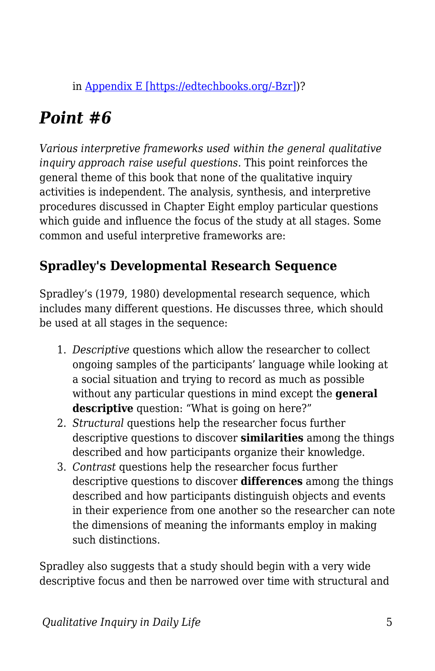in [Appendix E \[https://edtechbooks.org/-Bzr\]\)](https://edtechbooks.org/qualitativeinquiry/appendixe)?

# *Point #6*

*Various interpretive frameworks used within the general qualitative inquiry approach raise useful questions.* This point reinforces the general theme of this book that none of the qualitative inquiry activities is independent. The analysis, synthesis, and interpretive procedures discussed in Chapter Eight employ particular questions which guide and influence the focus of the study at all stages. Some common and useful interpretive frameworks are:

#### **Spradley's Developmental Research Sequence**

Spradley's (1979, 1980) developmental research sequence, which includes many different questions. He discusses three, which should be used at all stages in the sequence:

- 1. *Descriptive* questions which allow the researcher to collect ongoing samples of the participants' language while looking at a social situation and trying to record as much as possible without any particular questions in mind except the **general descriptive** question: "What is going on here?"
- 2. *Structural* questions help the researcher focus further descriptive questions to discover **similarities** among the things described and how participants organize their knowledge.
- 3. *Contrast* questions help the researcher focus further descriptive questions to discover **differences** among the things described and how participants distinguish objects and events in their experience from one another so the researcher can note the dimensions of meaning the informants employ in making such distinctions.

Spradley also suggests that a study should begin with a very wide descriptive focus and then be narrowed over time with structural and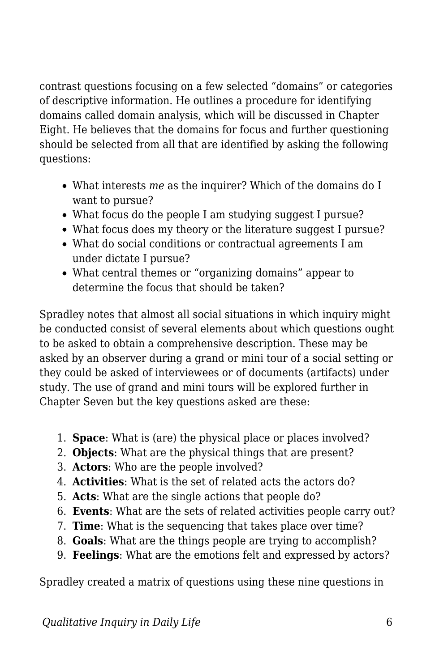contrast questions focusing on a few selected "domains" or categories of descriptive information. He outlines a procedure for identifying domains called domain analysis, which will be discussed in Chapter Eight. He believes that the domains for focus and further questioning should be selected from all that are identified by asking the following questions:

- What interests *me* as the inquirer? Which of the domains do I want to pursue?
- What focus do the people I am studying suggest I pursue?
- What focus does my theory or the literature suggest I pursue?
- What do social conditions or contractual agreements I am under dictate I pursue?
- What central themes or "organizing domains" appear to determine the focus that should be taken?

Spradley notes that almost all social situations in which inquiry might be conducted consist of several elements about which questions ought to be asked to obtain a comprehensive description. These may be asked by an observer during a grand or mini tour of a social setting or they could be asked of interviewees or of documents (artifacts) under study. The use of grand and mini tours will be explored further in Chapter Seven but the key questions asked are these:

- 1. **Space**: What is (are) the physical place or places involved?
- 2. **Objects**: What are the physical things that are present?
- 3. **Actors**: Who are the people involved?
- 4. **Activities**: What is the set of related acts the actors do?
- 5. **Acts**: What are the single actions that people do?
- 6. **Events**: What are the sets of related activities people carry out?
- 7. **Time**: What is the sequencing that takes place over time?
- 8. **Goals**: What are the things people are trying to accomplish?
- 9. **Feelings**: What are the emotions felt and expressed by actors?

Spradley created a matrix of questions using these nine questions in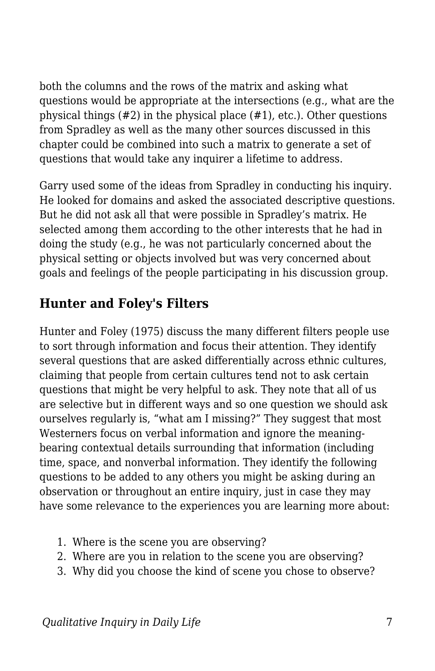both the columns and the rows of the matrix and asking what questions would be appropriate at the intersections (e.g., what are the physical things (#2) in the physical place (#1), etc.). Other questions from Spradley as well as the many other sources discussed in this chapter could be combined into such a matrix to generate a set of questions that would take any inquirer a lifetime to address.

Garry used some of the ideas from Spradley in conducting his inquiry. He looked for domains and asked the associated descriptive questions. But he did not ask all that were possible in Spradley's matrix. He selected among them according to the other interests that he had in doing the study (e.g., he was not particularly concerned about the physical setting or objects involved but was very concerned about goals and feelings of the people participating in his discussion group.

#### **Hunter and Foley's Filters**

Hunter and Foley (1975) discuss the many different filters people use to sort through information and focus their attention. They identify several questions that are asked differentially across ethnic cultures, claiming that people from certain cultures tend not to ask certain questions that might be very helpful to ask. They note that all of us are selective but in different ways and so one question we should ask ourselves regularly is, "what am I missing?" They suggest that most Westerners focus on verbal information and ignore the meaningbearing contextual details surrounding that information (including time, space, and nonverbal information. They identify the following questions to be added to any others you might be asking during an observation or throughout an entire inquiry, just in case they may have some relevance to the experiences you are learning more about:

- 1. Where is the scene you are observing?
- 2. Where are you in relation to the scene you are observing?
- 3. Why did you choose the kind of scene you chose to observe?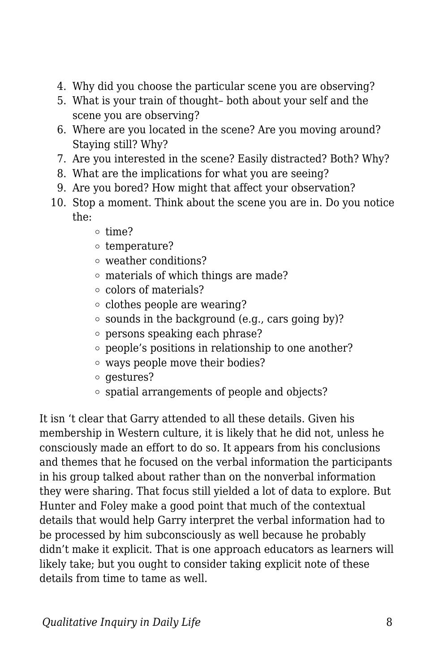- 4. Why did you choose the particular scene you are observing?
- 5. What is your train of thought– both about your self and the scene you are observing?
- 6. Where are you located in the scene? Are you moving around? Staying still? Why?
- 7. Are you interested in the scene? Easily distracted? Both? Why?
- 8. What are the implications for what you are seeing?
- 9. Are you bored? How might that affect your observation?
- 10. Stop a moment. Think about the scene you are in. Do you notice the:
	- $o$  time?
	- $\circ$  temperature?
	- weather conditions?
	- materials of which things are made?
	- colors of materials?
	- $\circ$  clothes people are wearing?
	- $\circ$  sounds in the background (e.g., cars going by)?
	- persons speaking each phrase?
	- people's positions in relationship to one another?
	- ways people move their bodies?
	- $\circ$  gestures?
	- $\circ$  spatial arrangements of people and objects?

It isn 't clear that Garry attended to all these details. Given his membership in Western culture, it is likely that he did not, unless he consciously made an effort to do so. It appears from his conclusions and themes that he focused on the verbal information the participants in his group talked about rather than on the nonverbal information they were sharing. That focus still yielded a lot of data to explore. But Hunter and Foley make a good point that much of the contextual details that would help Garry interpret the verbal information had to be processed by him subconsciously as well because he probably didn't make it explicit. That is one approach educators as learners will likely take; but you ought to consider taking explicit note of these details from time to tame as well.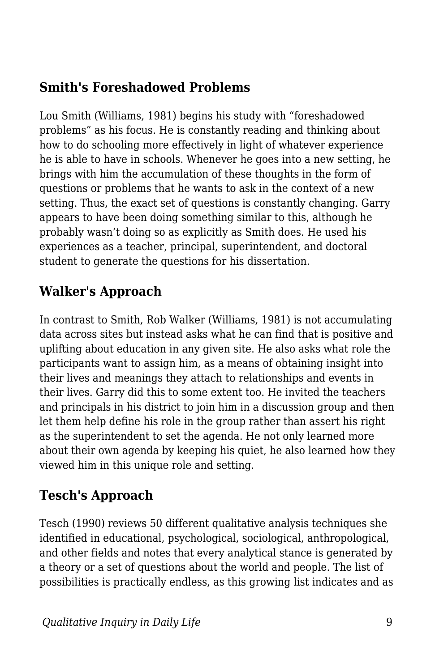#### **Smith's Foreshadowed Problems**

Lou Smith (Williams, 1981) begins his study with "foreshadowed problems" as his focus. He is constantly reading and thinking about how to do schooling more effectively in light of whatever experience he is able to have in schools. Whenever he goes into a new setting, he brings with him the accumulation of these thoughts in the form of questions or problems that he wants to ask in the context of a new setting. Thus, the exact set of questions is constantly changing. Garry appears to have been doing something similar to this, although he probably wasn't doing so as explicitly as Smith does. He used his experiences as a teacher, principal, superintendent, and doctoral student to generate the questions for his dissertation.

#### **Walker's Approach**

In contrast to Smith, Rob Walker (Williams, 1981) is not accumulating data across sites but instead asks what he can find that is positive and uplifting about education in any given site. He also asks what role the participants want to assign him, as a means of obtaining insight into their lives and meanings they attach to relationships and events in their lives. Garry did this to some extent too. He invited the teachers and principals in his district to join him in a discussion group and then let them help define his role in the group rather than assert his right as the superintendent to set the agenda. He not only learned more about their own agenda by keeping his quiet, he also learned how they viewed him in this unique role and setting.

#### **Tesch's Approach**

Tesch (1990) reviews 50 different qualitative analysis techniques she identified in educational, psychological, sociological, anthropological, and other fields and notes that every analytical stance is generated by a theory or a set of questions about the world and people. The list of possibilities is practically endless, as this growing list indicates and as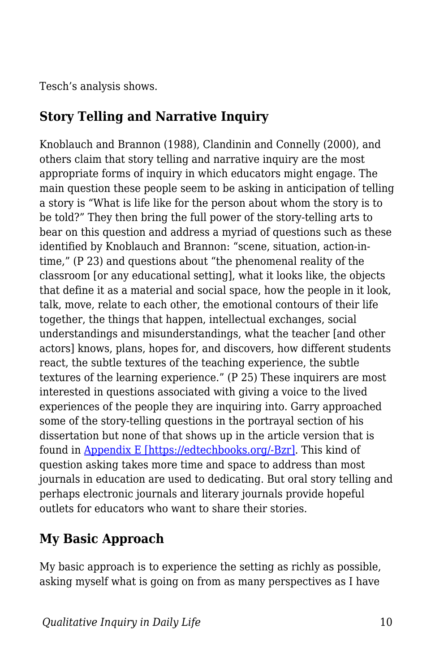Tesch's analysis shows.

#### **Story Telling and Narrative Inquiry**

Knoblauch and Brannon (1988), Clandinin and Connelly (2000), and others claim that story telling and narrative inquiry are the most appropriate forms of inquiry in which educators might engage. The main question these people seem to be asking in anticipation of telling a story is "What is life like for the person about whom the story is to be told?" They then bring the full power of the story-telling arts to bear on this question and address a myriad of questions such as these identified by Knoblauch and Brannon: "scene, situation, action-intime," (P 23) and questions about "the phenomenal reality of the classroom [or any educational setting], what it looks like, the objects that define it as a material and social space, how the people in it look, talk, move, relate to each other, the emotional contours of their life together, the things that happen, intellectual exchanges, social understandings and misunderstandings, what the teacher [and other actors] knows, plans, hopes for, and discovers, how different students react, the subtle textures of the teaching experience, the subtle textures of the learning experience." (P 25) These inquirers are most interested in questions associated with giving a voice to the lived experiences of the people they are inquiring into. Garry approached some of the story-telling questions in the portrayal section of his dissertation but none of that shows up in the article version that is found in [Appendix E \[https://edtechbooks.org/-Bzr\].](https://edtechbooks.org/qualitativeinquiry/appendixe) This kind of question asking takes more time and space to address than most journals in education are used to dedicating. But oral story telling and perhaps electronic journals and literary journals provide hopeful outlets for educators who want to share their stories.

#### **My Basic Approach**

My basic approach is to experience the setting as richly as possible, asking myself what is going on from as many perspectives as I have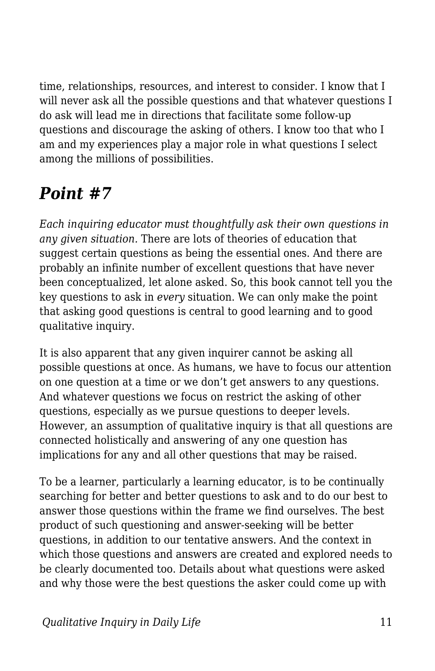time, relationships, resources, and interest to consider. I know that I will never ask all the possible questions and that whatever questions I do ask will lead me in directions that facilitate some follow-up questions and discourage the asking of others. I know too that who I am and my experiences play a major role in what questions I select among the millions of possibilities.

## *Point #7*

*Each inquiring educator must thoughtfully ask their own questions in any given situation.* There are lots of theories of education that suggest certain questions as being the essential ones. And there are probably an infinite number of excellent questions that have never been conceptualized, let alone asked. So, this book cannot tell you the key questions to ask in *every* situation. We can only make the point that asking good questions is central to good learning and to good qualitative inquiry.

It is also apparent that any given inquirer cannot be asking all possible questions at once. As humans, we have to focus our attention on one question at a time or we don't get answers to any questions. And whatever questions we focus on restrict the asking of other questions, especially as we pursue questions to deeper levels. However, an assumption of qualitative inquiry is that all questions are connected holistically and answering of any one question has implications for any and all other questions that may be raised.

To be a learner, particularly a learning educator, is to be continually searching for better and better questions to ask and to do our best to answer those questions within the frame we find ourselves. The best product of such questioning and answer-seeking will be better questions, in addition to our tentative answers. And the context in which those questions and answers are created and explored needs to be clearly documented too. Details about what questions were asked and why those were the best questions the asker could come up with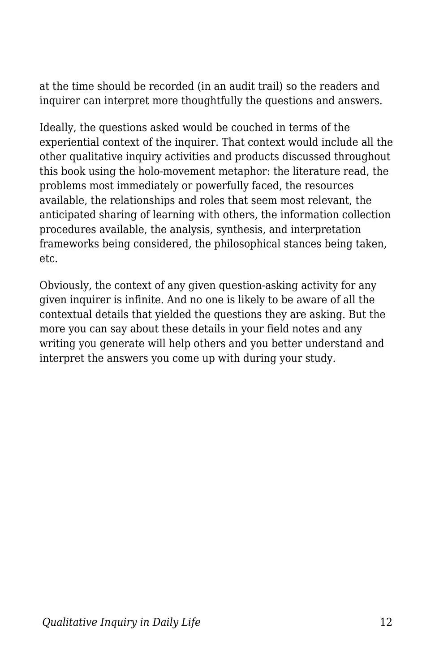at the time should be recorded (in an audit trail) so the readers and inquirer can interpret more thoughtfully the questions and answers.

Ideally, the questions asked would be couched in terms of the experiential context of the inquirer. That context would include all the other qualitative inquiry activities and products discussed throughout this book using the holo-movement metaphor: the literature read, the problems most immediately or powerfully faced, the resources available, the relationships and roles that seem most relevant, the anticipated sharing of learning with others, the information collection procedures available, the analysis, synthesis, and interpretation frameworks being considered, the philosophical stances being taken, etc.

Obviously, the context of any given question-asking activity for any given inquirer is infinite. And no one is likely to be aware of all the contextual details that yielded the questions they are asking. But the more you can say about these details in your field notes and any writing you generate will help others and you better understand and interpret the answers you come up with during your study.